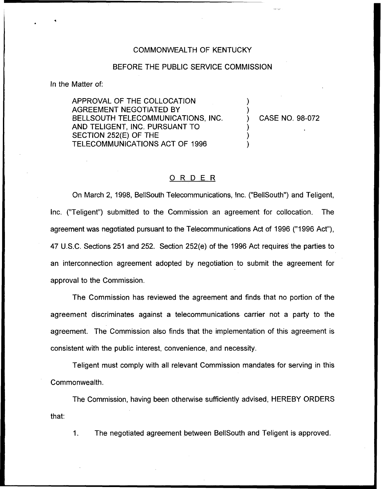## COMMONWEALTH OF KENTUCKY

## BEFORE THE PUBLIC SERVICE COMMISSION

In the Matter of:

APPROVAL OF THE COLLOCATION AGREEMENT NEGOTIATED BY BELLSOUTH TELECOMMUNICATIONS, INC. AND TELIGENT, INC. PURSUANT TO SECTION 252(E) OF THE TELECOMMUNICATIONS ACT OF 1996

) CASE NO. 98-072

) )

) ) )

## 0 <sup>R</sup> <sup>D</sup> <sup>E</sup> <sup>R</sup>

On March 2, 1998, BellSouth Telecommunications, lnc. ("BellSouth") and Teligent, Inc. ("Teligent") submitted to the Commission an agreement for collocation. The agreement was negotiated pursuant to the Telecommunications Act of 1996 ("1996 Act"), 47 U.S.C. Sections 251 and 252. Section 252(e) of the 1996 Act requires the parties to an interconnection agreement adopted by negotiation to submit the agreement for approval to the Commission.

The Commission has reviewed the agreement and finds that no portion of the agreement discriminates against a telecommunications carrier not a party to the agreement. The Commission also finds that the implementation of this agreement is consistent with the public interest, convenience, and necessity.

Teligent must comply with all relevant Commission mandates for serving in this Commonwealth.

The Commission, having been otherwise sufficiently advised, HEREBY ORDERS that:

1. The negotiated agreement between BellSouth and Teligent is approved.